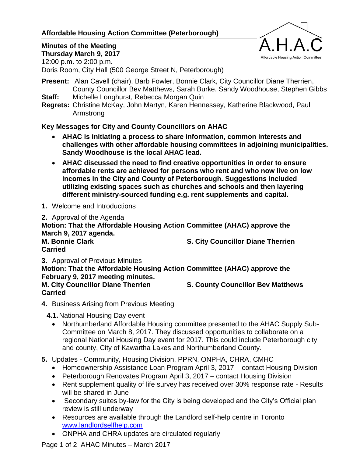## **Affordable Housing Action Committee (Peterborough)**



# **Minutes of the Meeting**

**Thursday March 9, 2017** 12:00 p.m. to 2:00 p.m.

Doris Room, City Hall (500 George Street N, Peterborough)

- **Present:** Alan Cavell (chair), Barb Fowler, Bonnie Clark, City Councillor Diane Therrien, County Councillor Bev Matthews, Sarah Burke, Sandy Woodhouse, Stephen Gibbs **Staff:** Michelle Longhurst, Rebecca Morgan Quin
- **Regrets:** Christine McKay, John Martyn, Karen Hennessey, Katherine Blackwood, Paul Armstrong

### **Key Messages for City and County Councillors on AHAC**

- **AHAC is initiating a process to share information, common interests and challenges with other affordable housing committees in adjoining municipalities. Sandy Woodhouse is the local AHAC lead.**
- **AHAC discussed the need to find creative opportunities in order to ensure affordable rents are achieved for persons who rent and who now live on low incomes in the City and County of Peterborough. Suggestions included utilizing existing spaces such as churches and schools and then layering different ministry-sourced funding e.g. rent supplements and capital.**
- **1.** Welcome and Introductions
- **2.** Approval of the Agenda **Motion: That the Affordable Housing Action Committee (AHAC) approve the March 9, 2017 agenda. M. Bonnie Clark S. City Councillor Diane Therrien Carried**

**3.** Approval of Previous Minutes **Motion: That the Affordable Housing Action Committee (AHAC) approve the February 9, 2017 meeting minutes. M. City Councillor Diane Therrien S. County Councillor Bev Matthews Carried**

- **4.** Business Arising from Previous Meeting
	- **4.1.**National Housing Day event
		- Northumberland Affordable Housing committee presented to the AHAC Supply Sub-Committee on March 8, 2017. They discussed opportunities to collaborate on a regional National Housing Day event for 2017. This could include Peterborough city and county, City of Kawartha Lakes and Northumberland County.
- **5.** Updates Community, Housing Division, PPRN, ONPHA, CHRA, CMHC
	- Homeownership Assistance Loan Program April 3, 2017 contact Housing Division
	- Peterborough Renovates Program April 3, 2017 contact Housing Division
	- Rent supplement quality of life survey has received over 30% response rate Results will be shared in June
	- Secondary suites by-law for the City is being developed and the City's Official plan review is still underway
	- Resources are available through the Landlord self-help centre in Toronto [www.landlordselfhelp.com](http://www.landlordselfhelp.com/)
	- ONPHA and CHRA updates are circulated regularly

Page 1 of 2 AHAC Minutes – March 2017